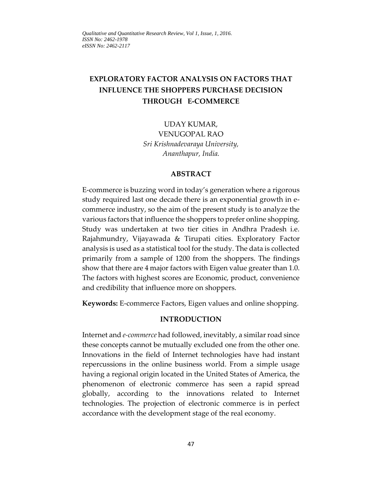# **EXPLORATORY FACTOR ANALYSIS ON FACTORS THAT INFLUENCE THE SHOPPERS PURCHASE DECISION THROUGH E-COMMERCE**

UDAY KUMAR, VENUGOPAL RAO *Sri Krishnadevaraya University, Ananthapur, India.*

### **ABSTRACT**

E-commerce is buzzing word in today's generation where a rigorous study required last one decade there is an exponential growth in ecommerce industry, so the aim of the present study is to analyze the various factors that influence the shoppers to prefer online shopping. Study was undertaken at two tier cities in Andhra Pradesh i.e. Rajahmundry, Vijayawada & Tirupati cities. Exploratory Factor analysis is used as a statistical tool for the study. The data is collected primarily from a sample of 1200 from the shoppers. The findings show that there are 4 major factors with Eigen value greater than 1.0. The factors with highest scores are Economic, product, convenience and credibility that influence more on shoppers.

**Keywords:** E-commerce Factors, Eigen values and online shopping.

### **INTRODUCTION**

Internet and *e-commerce* had followed, inevitably, a similar road since these concepts cannot be mutually excluded one from the other one. Innovations in the field of Internet technologies have had instant repercussions in the online business world. From a simple usage having a regional origin located in the United States of America, the phenomenon of electronic commerce has seen a rapid spread globally, according to the innovations related to Internet technologies. The projection of electronic commerce is in perfect accordance with the development stage of the real economy.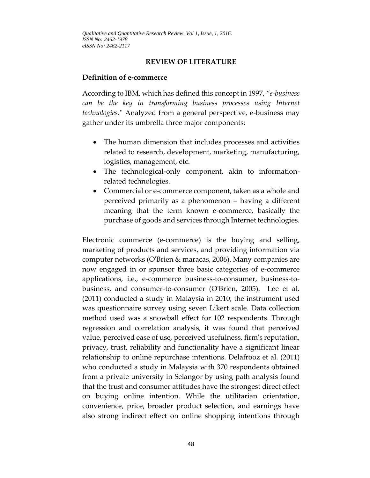### **REVIEW OF LITERATURE**

### **Definition of e-commerce**

According to IBM, which has defined this concept in 1997, *"e-business can be the key in transforming business processes using Internet technologies*.'' Analyzed from a general perspective, e-business may gather under its umbrella three major components:

- The human dimension that includes processes and activities related to research, development, marketing, manufacturing, logistics, management, etc.
- The technological-only component, akin to informationrelated technologies.
- Commercial or e-commerce component, taken as a whole and perceived primarily as a phenomenon – having a different meaning that the term known e-commerce, basically the purchase of goods and services through Internet technologies.

Electronic commerce (e-commerce) is the buying and selling, marketing of products and services, and providing information via computer networks (O'Brien & maracas, 2006). Many companies are now engaged in or sponsor three basic categories of e-commerce applications, i.e., e-commerce business-to-consumer, business-tobusiness, and consumer-to-consumer (O'Brien, 2005). Lee et al. (2011) conducted a study in Malaysia in 2010; the instrument used was questionnaire survey using seven Likert scale. Data collection method used was a snowball effect for 102 respondents. Through regression and correlation analysis, it was found that perceived value, perceived ease of use, perceived usefulness, firm's reputation, privacy, trust, reliability and functionality have a significant linear relationship to online repurchase intentions. Delafrooz et al. (2011) who conducted a study in Malaysia with 370 respondents obtained from a private university in Selangor by using path analysis found that the trust and consumer attitudes have the strongest direct effect on buying online intention. While the utilitarian orientation, convenience, price, broader product selection, and earnings have also strong indirect effect on online shopping intentions through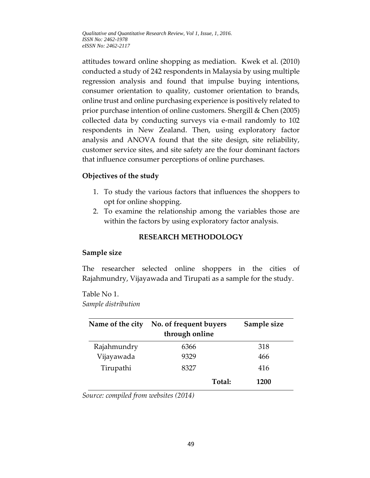attitudes toward online shopping as mediation. Kwek et al. (2010) conducted a study of 242 respondents in Malaysia by using multiple regression analysis and found that impulse buying intentions, consumer orientation to quality, customer orientation to brands, online trust and online purchasing experience is positively related to prior purchase intention of online customers. Shergill & Chen (2005) collected data by conducting surveys via e-mail randomly to 102 respondents in New Zealand. Then, using exploratory factor analysis and ANOVA found that the site design, site reliability, customer service sites, and site safety are the four dominant factors that influence consumer perceptions of online purchases.

### **Objectives of the study**

- 1. To study the various factors that influences the shoppers to opt for online shopping.
- 2. To examine the relationship among the variables those are within the factors by using exploratory factor analysis.

# **RESEARCH METHODOLOGY**

### **Sample size**

The researcher selected online shoppers in the cities of Rajahmundry, Vijayawada and Tirupati as a sample for the study.

Table No 1. *Sample distribution*

| Name of the city | No. of frequent buyers<br>through online | Sample size |
|------------------|------------------------------------------|-------------|
| Rajahmundry      | 6366                                     | 318         |
| Vijayawada       | 9329                                     | 466         |
| Tirupathi        | 8327                                     | 416         |
|                  | Total:                                   | 1200        |

*Source: compiled from websites (2014)*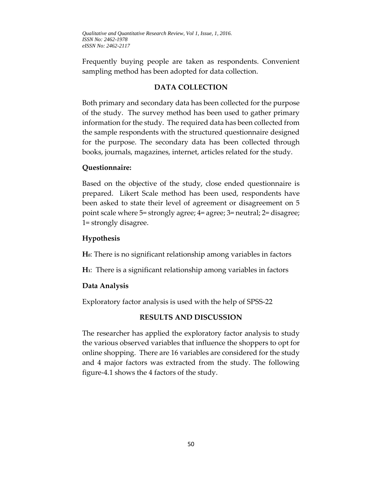Frequently buying people are taken as respondents. Convenient sampling method has been adopted for data collection.

# **DATA COLLECTION**

Both primary and secondary data has been collected for the purpose of the study. The survey method has been used to gather primary information for the study. The required data has been collected from the sample respondents with the structured questionnaire designed for the purpose. The secondary data has been collected through books, journals, magazines, internet, articles related for the study.

# **Questionnaire:**

Based on the objective of the study, close ended questionnaire is prepared. Likert Scale method has been used, respondents have been asked to state their level of agreement or disagreement on 5 point scale where 5= strongly agree; 4= agree; 3= neutral; 2= disagree; 1= strongly disagree.

# **Hypothesis**

**H0**: There is no significant relationship among variables in factors

**H1**: There is a significant relationship among variables in factors

# **Data Analysis**

Exploratory factor analysis is used with the help of SPSS-22

# **RESULTS AND DISCUSSION**

The researcher has applied the exploratory factor analysis to study the various observed variables that influence the shoppers to opt for online shopping. There are 16 variables are considered for the study and 4 major factors was extracted from the study. The following figure-4.1 shows the 4 factors of the study.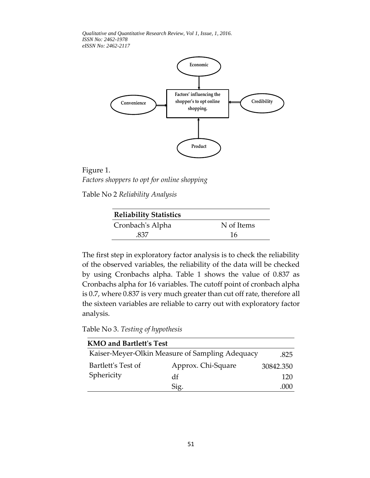

Figure 1. *Factors shoppers to opt for online shopping*

Table No 2 *Reliability Analysis*

| <b>Reliability Statistics</b> |            |
|-------------------------------|------------|
| Cronbach's Alpha              | N of Items |
| -837                          | 16         |

The first step in exploratory factor analysis is to check the reliability of the observed variables, the reliability of the data will be checked by using Cronbachs alpha. Table 1 shows the value of 0.837 as Cronbachs alpha for 16 variables. The cutoff point of cronbach alpha is 0.7, where 0.837 is very much greater than cut off rate, therefore all the sixteen variables are reliable to carry out with exploratory factor analysis.

Table No 3. *Testing of hypothesis*

| <b>KMO</b> and Bartlett's Test                  |                    |           |  |  |  |
|-------------------------------------------------|--------------------|-----------|--|--|--|
| Kaiser-Meyer-Olkin Measure of Sampling Adequacy | .825               |           |  |  |  |
| Bartlett's Test of                              | Approx. Chi-Square | 30842.350 |  |  |  |
| Sphericity                                      | df                 | 120       |  |  |  |
|                                                 | Sig.               | ()()()    |  |  |  |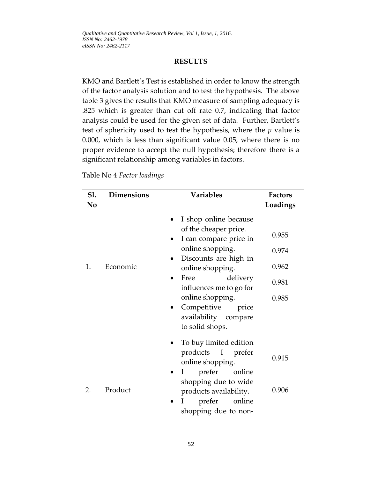### **RESULTS**

KMO and Bartlett's Test is established in order to know the strength of the factor analysis solution and to test the hypothesis. The above table 3 gives the results that KMO measure of sampling adequacy is .825 which is greater than cut off rate 0.7, indicating that factor analysis could be used for the given set of data. Further, Bartlett's test of sphericity used to test the hypothesis, where the *p* value is 0.000, which is less than significant value 0.05, where there is no proper evidence to accept the null hypothesis; therefore there is a significant relationship among variables in factors.

Table No 4 *Factor loadings*

| S1. | <b>Variables</b><br><b>Dimensions</b> |                                                                                                                                                                                                                                                                                                                        | <b>Factors</b>                            |
|-----|---------------------------------------|------------------------------------------------------------------------------------------------------------------------------------------------------------------------------------------------------------------------------------------------------------------------------------------------------------------------|-------------------------------------------|
| No  |                                       |                                                                                                                                                                                                                                                                                                                        | Loadings                                  |
| 1.  | Economic                              | I shop online because<br>$\bullet$<br>of the cheaper price.<br>I can compare price in<br>online shopping.<br>Discounts are high in<br>$\bullet$<br>online shopping.<br>Free<br>delivery<br>$\bullet$<br>influences me to go for<br>online shopping.<br>Competitive<br>price<br>availability compare<br>to solid shops. | 0.955<br>0.974<br>0.962<br>0.981<br>0.985 |
| 2.  | Product                               | To buy limited edition<br>products I prefer<br>online shopping.<br>prefer online<br>Ι.<br>$\bullet$<br>shopping due to wide<br>products availability.<br>prefer<br>online<br>I<br>shopping due to non-                                                                                                                 | 0.915<br>0.906                            |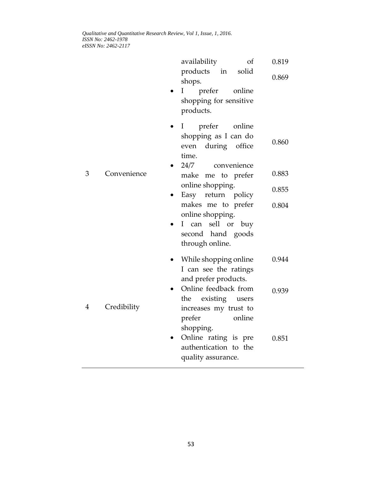|   |             | availability<br>of<br>products in<br>solid<br>shops.<br>prefer<br>I<br>online<br>shopping for sensitive<br>products. | 0.819<br>0.869 |
|---|-------------|----------------------------------------------------------------------------------------------------------------------|----------------|
|   |             | prefer<br>online<br>1<br>$\bullet$<br>shopping as I can do<br>during office<br>even<br>time.<br>24/7<br>convenience  | 0.860          |
| 3 | Convenience | make me to prefer                                                                                                    | 0.883          |
|   |             | online shopping.<br>Easy return policy<br>$\bullet$                                                                  | 0.855          |
|   |             | makes me to prefer<br>online shopping.<br>can sell or buy<br>I<br>second hand goods<br>through online.               | 0.804          |
|   |             | While shopping online<br>I can see the ratings<br>and prefer products.                                               | 0.944          |
| 4 | Credibility | Online feedback from<br>the<br>existing users<br>increases my trust to<br>prefer<br>online<br>shopping.              | 0.939          |
|   |             | Online rating is pre<br>authentication to the<br>quality assurance.                                                  | 0.851          |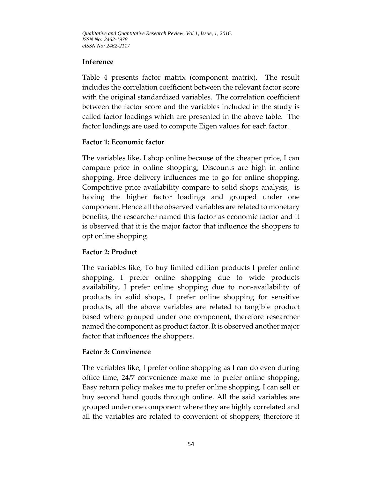# **Inference**

Table 4 presents factor matrix (component matrix). The result includes the correlation coefficient between the relevant factor score with the original standardized variables. The correlation coefficient between the factor score and the variables included in the study is called factor loadings which are presented in the above table. The factor loadings are used to compute Eigen values for each factor.

# **Factor 1: Economic factor**

The variables like, I shop online because of the cheaper price, I can compare price in online shopping, Discounts are high in online shopping, Free delivery influences me to go for online shopping, Competitive price availability compare to solid shops analysis, is having the higher factor loadings and grouped under one component. Hence all the observed variables are related to monetary benefits, the researcher named this factor as economic factor and it is observed that it is the major factor that influence the shoppers to opt online shopping.

# **Factor 2: Product**

The variables like, To buy limited edition products I prefer online shopping, I prefer online shopping due to wide products availability, I prefer online shopping due to non-availability of products in solid shops, I prefer online shopping for sensitive products, all the above variables are related to tangible product based where grouped under one component, therefore researcher named the component as product factor. It is observed another major factor that influences the shoppers.

# **Factor 3: Convinence**

The variables like, I prefer online shopping as I can do even during office time, 24/7 convenience make me to prefer online shopping, Easy return policy makes me to prefer online shopping, I can sell or buy second hand goods through online. All the said variables are grouped under one component where they are highly correlated and all the variables are related to convenient of shoppers; therefore it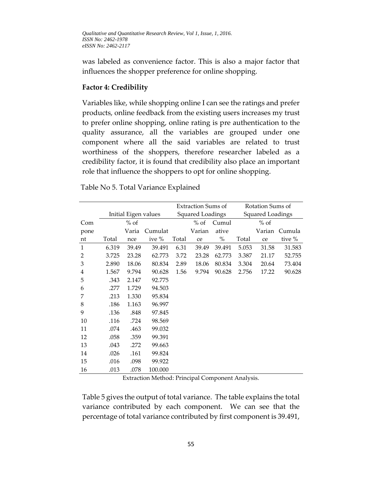was labeled as convenience factor. This is also a major factor that influences the shopper preference for online shopping.

# **Factor 4: Credibility**

Variables like, while shopping online I can see the ratings and prefer products, online feedback from the existing users increases my trust to prefer online shopping, online rating is pre authentication to the quality assurance, all the variables are grouped under one component where all the said variables are related to trust worthiness of the shoppers, therefore researcher labeled as a credibility factor, it is found that credibility also place an important role that influence the shoppers to opt for online shopping.

Table No 5. Total Variance Explained

|                |       |                      |         | <b>Extraction Sums of</b> |                  |        |                  | Rotation Sums of |        |
|----------------|-------|----------------------|---------|---------------------------|------------------|--------|------------------|------------------|--------|
|                |       | Initial Eigen values |         |                           | Squared Loadings |        | Squared Loadings |                  |        |
| Com            |       | $%$ of               |         |                           | $%$ of           | Cumul  |                  | $%$ of           |        |
| pone           |       | Varia                | Cumulat |                           | Varian           | ative  |                  | Varian           | Cumula |
| nt             | Total | nce                  | ive $%$ | Total                     | ce               | $\%$   | Total            | ce               | tive % |
| $\mathbf{1}$   | 6.319 | 39.49                | 39.491  | 6.31                      | 39.49            | 39.491 | 5.053            | 31.58            | 31.583 |
| $\overline{2}$ | 3.725 | 23.28                | 62.773  | 3.72                      | 23.28            | 62.773 | 3.387            | 21.17            | 52.755 |
| 3              | 2.890 | 18.06                | 80.834  | 2.89                      | 18.06            | 80.834 | 3.304            | 20.64            | 73.404 |
| 4              | 1.567 | 9.794                | 90.628  | 1.56                      | 9.794            | 90.628 | 2.756            | 17.22            | 90.628 |
| 5              | .343  | 2.147                | 92.775  |                           |                  |        |                  |                  |        |
| 6              | .277  | 1.729                | 94.503  |                           |                  |        |                  |                  |        |
| 7              | .213  | 1.330                | 95.834  |                           |                  |        |                  |                  |        |
| 8              | .186  | 1.163                | 96.997  |                           |                  |        |                  |                  |        |
| 9              | .136  | .848                 | 97.845  |                           |                  |        |                  |                  |        |
| 10             | .116  | .724                 | 98.569  |                           |                  |        |                  |                  |        |
| 11             | .074  | .463                 | 99.032  |                           |                  |        |                  |                  |        |
| 12             | .058  | .359                 | 99.391  |                           |                  |        |                  |                  |        |
| 13             | .043  | .272                 | 99.663  |                           |                  |        |                  |                  |        |
| 14             | .026  | .161                 | 99.824  |                           |                  |        |                  |                  |        |
| 15             | .016  | .098                 | 99.922  |                           |                  |        |                  |                  |        |
| 16             | .013  | .078                 | 100.000 |                           |                  |        |                  |                  |        |

Extraction Method: Principal Component Analysis.

Table 5 gives the output of total variance. The table explains the total variance contributed by each component. We can see that the percentage of total variance contributed by first component is 39.491,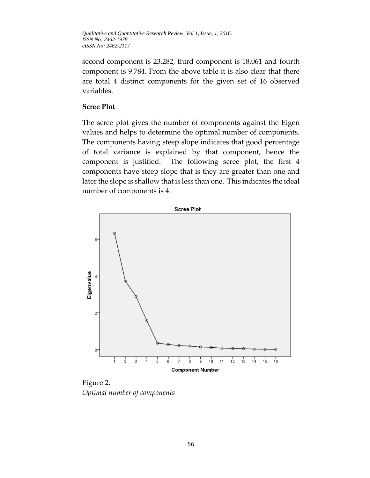second component is 23.282, third component is 18.061 and fourth component is 9.784. From the above table it is also clear that there are total 4 distinct components for the given set of 16 observed variables.

### **Scree Plot**

The scree plot gives the number of components against the Eigen values and helps to determine the optimal number of components. The components having steep slope indicates that good percentage of total variance is explained by that component, hence the component is justified. The following scree plot, the first 4 components have steep slope that is they are greater than one and later the slope is shallow that is less than one. This indicates the ideal number of components is 4.



Figure 2. *Optimal number of components*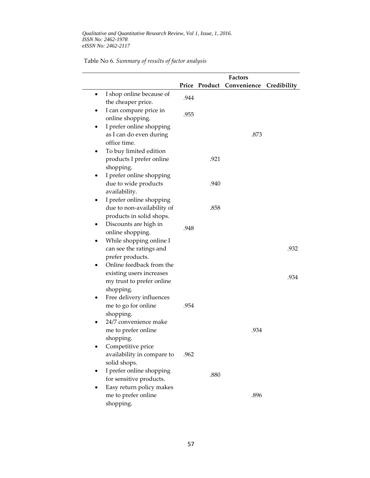Table No 6. *Summary of results of factor analysis*

 $\mathbb{R}^2$ 

 $\sim$ 

|           |                                                        |      |      | <b>Factors</b>            |             |
|-----------|--------------------------------------------------------|------|------|---------------------------|-------------|
|           |                                                        |      |      | Price Product Convenience | Credibility |
| $\bullet$ | I shop online because of<br>the cheaper price.         | .944 |      |                           |             |
|           | I can compare price in<br>online shopping.             | .955 |      |                           |             |
|           | I prefer online shopping                               |      |      |                           |             |
|           | as I can do even during<br>office time.                |      |      | .873                      |             |
|           | To buy limited edition                                 |      |      |                           |             |
|           | products I prefer online<br>shopping.                  |      | .921 |                           |             |
|           | I prefer online shopping                               |      |      |                           |             |
|           | due to wide products<br>availability.                  |      | .940 |                           |             |
|           | I prefer online shopping<br>due to non-availability of |      | .858 |                           |             |
|           | products in solid shops.                               |      |      |                           |             |
|           | Discounts are high in<br>online shopping.              | .948 |      |                           |             |
|           | While shopping online I                                |      |      |                           |             |
|           | can see the ratings and                                |      |      |                           | .932        |
|           | prefer products.<br>Online feedback from the           |      |      |                           |             |
|           | existing users increases                               |      |      |                           | .934        |
|           | my trust to prefer online<br>shopping.                 |      |      |                           |             |
|           | Free delivery influences                               |      |      |                           |             |
|           | me to go for online<br>shopping.                       | .954 |      |                           |             |
|           | 24/7 convenience make                                  |      |      |                           |             |
|           | me to prefer online                                    |      |      | .934                      |             |
|           | shopping.<br>Competitive price                         |      |      |                           |             |
|           | availability in compare to<br>solid shops.             | .962 |      |                           |             |
|           | I prefer online shopping                               |      | .880 |                           |             |
|           | for sensitive products.                                |      |      |                           |             |
|           | Easy return policy makes<br>me to prefer online        |      |      | .896                      |             |
|           | shopping.                                              |      |      |                           |             |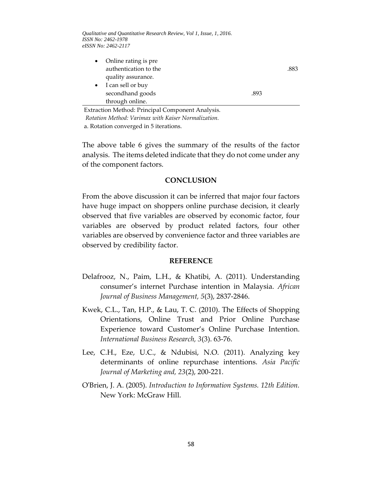| Online rating is pre            |      |      |
|---------------------------------|------|------|
| authentication to the           |      | .883 |
| quality assurance.              |      |      |
| I can sell or buy               |      |      |
| secondhand goods                | .893 |      |
| through online.                 |      |      |
| $\cdots$ $\cdots$ $\cdots$<br>. |      |      |

Extraction Method: Principal Component Analysis. *Rotation Method: Varimax with Kaiser Normalization.* a. Rotation converged in 5 iterations.

The above table 6 gives the summary of the results of the factor analysis. The items deleted indicate that they do not come under any of the component factors.

### **CONCLUSION**

From the above discussion it can be inferred that major four factors have huge impact on shoppers online purchase decision, it clearly observed that five variables are observed by economic factor, four variables are observed by product related factors, four other variables are observed by convenience factor and three variables are observed by credibility factor.

### **REFERENCE**

- Delafrooz, N., Paim, L.H., & Khatibi, A. (2011). Understanding consumer's internet Purchase intention in Malaysia. *African Journal of Business Management, 5*(3), 2837-2846.
- Kwek, C.L., Tan, H.P., & Lau, T. C. (2010). The Effects of Shopping Orientations, Online Trust and Prior Online Purchase Experience toward Customer's Online Purchase Intention. *International Business Research, 3*(3). 63-76.
- Lee, C.H., Eze, U.C., & Ndubisi, N.O. (2011). Analyzing key determinants of online repurchase intentions. *Asia Pacific Journal of Marketing and, 23*(2), 200-221.
- O'Brien, J. A. (2005). *Introduction to Information Systems. 12th Edition.*  New York: McGraw Hill.